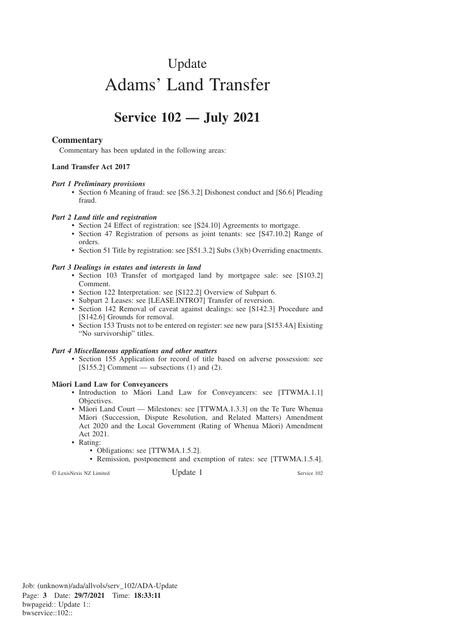# Update Adams' Land Transfer

# **Service 102 — July 2021**

## **Commentary**

Commentary has been updated in the following areas:

#### **Land Transfer Act 2017**

#### *Part 1 Preliminary provisions*

• Section 6 Meaning of fraud: see [S6.3.2] Dishonest conduct and [S6.6] Pleading fraud.

#### *Part 2 Land title and registration*

- Section 24 Effect of registration: see [S24.10] Agreements to mortgage.
- Section 47 Registration of persons as joint tenants: see [S47.10.2] Range of orders.
- Section 51 Title by registration: see [S51.3.2] Subs (3)(b) Overriding enactments.

#### *Part 3 Dealings in estates and interests in land*

- Section 103 Transfer of mortgaged land by mortgagee sale: see [S103.2] Comment.
- Section 122 Interpretation: see [S122.2] Overview of Subpart 6.
- Subpart 2 Leases: see [LEASE.INTRO7] Transfer of reversion.
- Section 142 Removal of caveat against dealings: see [S142.3] Procedure and [S142.6] Grounds for removal.
- Section 153 Trusts not to be entered on register: see new para [S153.4A] Existing "No survivorship" titles.

#### *Part 4 Miscellaneous applications and other matters*

• Section 155 Application for record of title based on adverse possession: see  $[S155.2]$  Comment — subsections (1) and (2).

#### **Mäori Land Law for Conveyancers**

- Introduction to Māori Land Law for Conveyancers: see [TTWMA.1.1] Objectives.
- Māori Land Court Milestones: see [TTWMA.1.3.3] on the Te Ture Whenua Ma¯ori (Succession, Dispute Resolution, and Related Matters) Amendment Act 2020 and the Local Government (Rating of Whenua Māori) Amendment Act 2021.
- Rating:
	- Obligations: see [TTWMA.1.5.2].
	- Remission, postponement and exemption of rates: see [TTWMA.1.5.4].